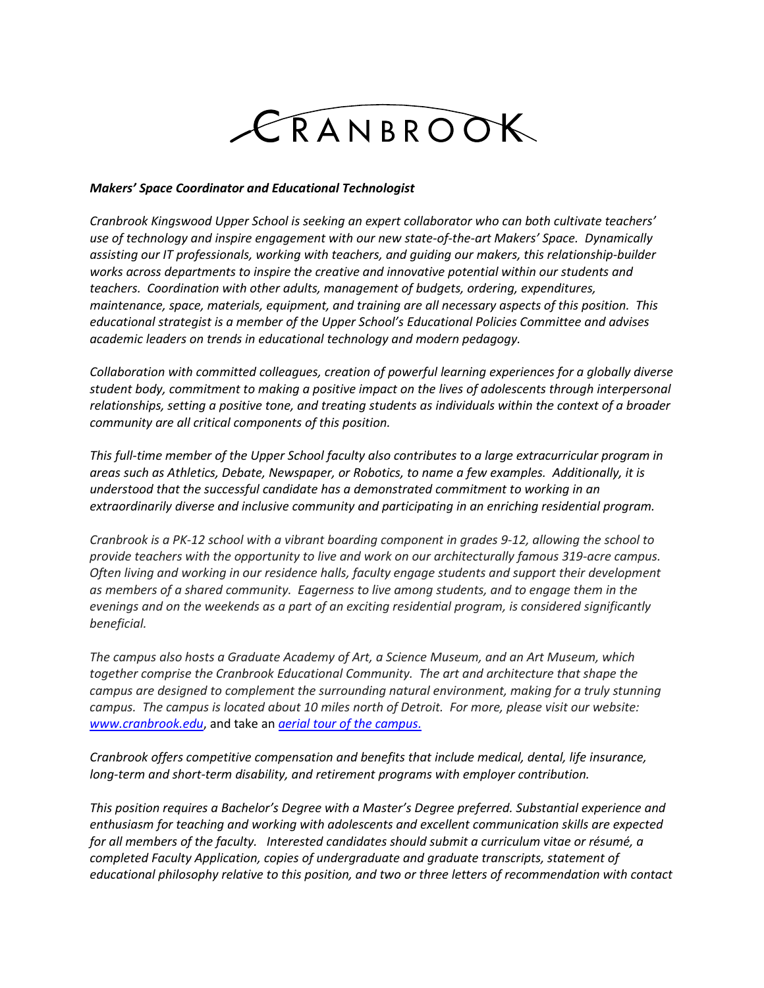## CRANBROOK

## *Makers' Space Coordinator and Educational Technologist*

*Cranbrook Kingswood Upper School is seeking an expert collaborator who can both cultivate teachers' use of technology and inspire engagement with our new state-of-the-art Makers' Space. Dynamically assisting our IT professionals, working with teachers, and guiding our makers, this relationship-builder works across departments to inspire the creative and innovative potential within our students and teachers. Coordination with other adults, management of budgets, ordering, expenditures, maintenance, space, materials, equipment, and training are all necessary aspects of this position. This educational strategist is a member of the Upper School's Educational Policies Committee and advises academic leaders on trends in educational technology and modern pedagogy.*

*Collaboration with committed colleagues, creation of powerful learning experiences for a globally diverse student body, commitment to making a positive impact on the lives of adolescents through interpersonal relationships, setting a positive tone, and treating students as individuals within the context of a broader community are all critical components of this position.*

*This full-time member of the Upper School faculty also contributes to a large extracurricular program in areas such as Athletics, Debate, Newspaper, or Robotics, to name a few examples. Additionally, it is understood that the successful candidate has a demonstrated commitment to working in an extraordinarily diverse and inclusive community and participating in an enriching residential program.*

*Cranbrook is a PK-12 school with a vibrant boarding component in grades 9-12, allowing the school to provide teachers with the opportunity to live and work on our architecturally famous 319-acre campus. Often living and working in our residence halls, faculty engage students and support their development as members of a shared community. Eagerness to live among students, and to engage them in the evenings and on the weekends as a part of an exciting residential program, is considered significantly beneficial.*

*The campus also hosts a Graduate Academy of Art, a Science Museum, and an Art Museum, which together comprise the Cranbrook Educational Community. The art and architecture that shape the campus are designed to complement the surrounding natural environment, making for a truly stunning campus. The campus is located about 10 miles north of Detroit. For more, please visit our website: [www.cranbrook.edu](http://www.cranbrook.edu/)*, and take an *[aerial tour of the campus.](https://vimeo.com/174960305)*

*Cranbrook offers competitive compensation and benefits that include medical, dental, life insurance, long-term and short-term disability, and retirement programs with employer contribution.*

*This position requires a Bachelor's Degree with a Master's Degree preferred. Substantial experience and enthusiasm for teaching and working with adolescents and excellent communication skills are expected for all members of the faculty. Interested candidates should submit a curriculum vitae or résumé, a completed Faculty Application, copies of undergraduate and graduate transcripts, statement of educational philosophy relative to this position, and two or three letters of recommendation with contact*